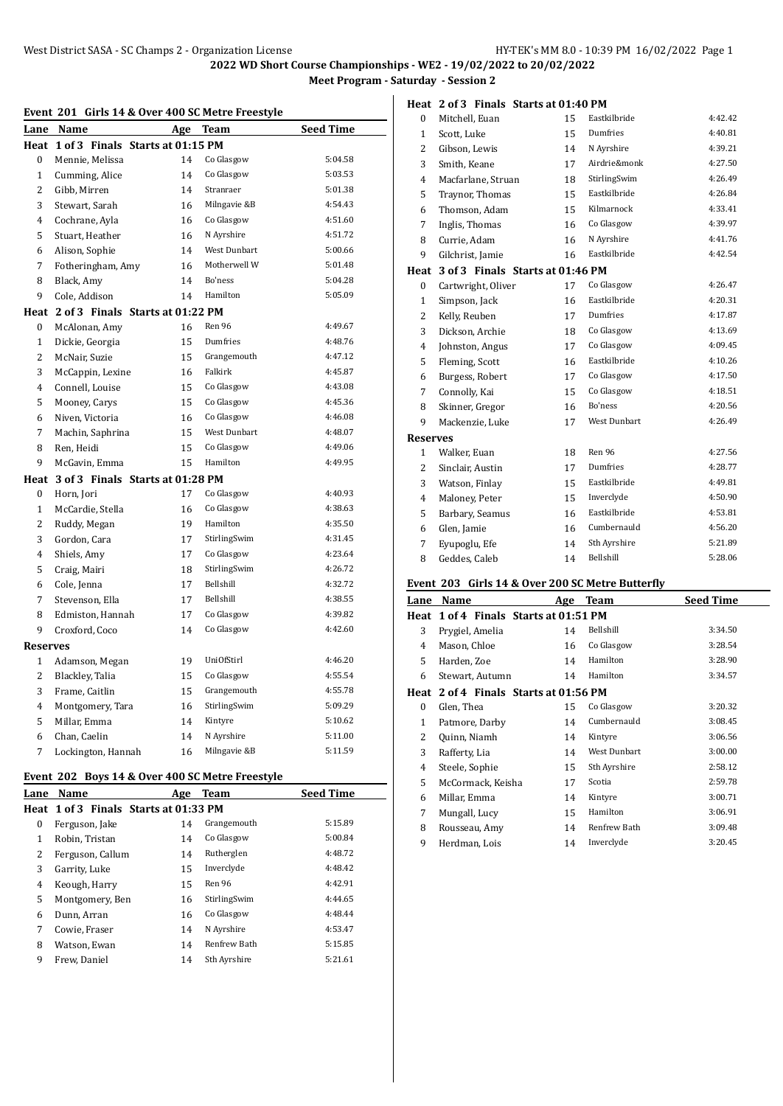|  | Event 201 Girls 14 & Over 400 SC Metre Freestyle |
|--|--------------------------------------------------|
|  |                                                  |

| Lane           | Name                                  | Age | Team                | <u>Seed Time</u> |
|----------------|---------------------------------------|-----|---------------------|------------------|
| Heat           | 1 of 3 Finals Starts at 01:15 PM      |     |                     |                  |
| 0              | Mennie, Melissa                       | 14  | Co Glasgow          | 5:04.58          |
| $\mathbf{1}$   | Cumming, Alice                        | 14  | Co Glasgow          | 5:03.53          |
| $\overline{c}$ | Gibb, Mirren                          | 14  | Stranraer           | 5:01.38          |
| 3              | Stewart, Sarah                        | 16  | Milngavie &B        | 4:54.43          |
| 4              | Cochrane, Ayla                        | 16  | Co Glasgow          | 4:51.60          |
| 5              | Stuart, Heather                       | 16  | N Ayrshire          | 4:51.72          |
| 6              | Alison, Sophie                        | 14  | <b>West Dunbart</b> | 5:00.66          |
| 7              | Fotheringham, Amy                     | 16  | Motherwell W        | 5:01.48          |
| 8              | Black, Amy                            | 14  | Bo'ness             | 5:04.28          |
| 9              | Cole, Addison                         | 14  | Hamilton            | 5:05.09          |
|                | Heat 2 of 3 Finals Starts at 01:22 PM |     |                     |                  |
| 0              | McAlonan, Amy                         | 16  | Ren 96              | 4:49.67          |
| 1              | Dickie, Georgia                       | 15  | Dumfries            | 4:48.76          |
| $\overline{2}$ | McNair, Suzie                         | 15  | Grangemouth         | 4:47.12          |
| 3              | McCappin, Lexine                      | 16  | Falkirk             | 4:45.87          |
| 4              | Connell, Louise                       | 15  | Co Glasgow          | 4:43.08          |
| 5              | Mooney, Carys                         | 15  | Co Glasgow          | 4:45.36          |
| 6              | Niven, Victoria                       | 16  | Co Glasgow          | 4:46.08          |
| 7              | Machin, Saphrina                      | 15  | West Dunbart        | 4:48.07          |
| 8              | Ren, Heidi                            | 15  | Co Glasgow          | 4:49.06          |
| 9              | McGavin, Emma                         | 15  | Hamilton            | 4:49.95          |
| Heat           | 3 of 3 Finals Starts at 01:28 PM      |     |                     |                  |
| 0              | Horn, Jori                            | 17  | Co Glasgow          | 4:40.93          |
| $\mathbf{1}$   | McCardie, Stella                      | 16  | Co Glasgow          | 4:38.63          |
| 2              | Ruddy, Megan                          | 19  | Hamilton            | 4:35.50          |
| 3              | Gordon, Cara                          | 17  | StirlingSwim        | 4:31.45          |
| 4              | Shiels, Amy                           | 17  | Co Glasgow          | 4:23.64          |
| 5              | Craig, Mairi                          | 18  | StirlingSwim        | 4:26.72          |
| 6              | Cole, Jenna                           | 17  | Bellshill           | 4:32.72          |
| 7              | Stevenson, Ella                       | 17  | Bellshill           | 4:38.55          |
| 8              | Edmiston, Hannah                      | 17  | Co Glasgow          | 4:39.82          |
| 9              | Croxford, Coco                        | 14  | Co Glasgow          | 4:42.60          |
| Reserves       |                                       |     |                     |                  |
| 1              | Adamson, Megan                        | 19  | UniOfStirl          | 4:46.20          |
| 2              | Blackley, Talia                       | 15  | Co Glasgow          | 4:55.54          |
| 3              | Frame, Caitlin                        | 15  | Grangemouth         | 4:55.78          |
| 4              | Montgomery, Tara                      | 16  | StirlingSwim        | 5:09.29          |
| 5              | Millar, Emma                          | 14  | Kintyre             | 5:10.62          |
| 6              | Chan, Caelin                          | 14  | N Ayrshire          | 5:11.00          |
| 7              | Lockington, Hannah                    | 16  | Milngavie &B        | 5:11.59          |
|                |                                       |     |                     |                  |

## **Event 202 Boys 14 & Over 400 SC Metre Freestyle**

| Lane | <b>Name</b>                           | Age | Team          | <b>Seed Time</b> |
|------|---------------------------------------|-----|---------------|------------------|
|      | Heat 1 of 3 Finals Starts at 01:33 PM |     |               |                  |
| 0    | Ferguson, Jake                        | 14  | Grangemouth   | 5:15.89          |
| 1    | Robin, Tristan                        | 14  | Co Glasgow    | 5:00.84          |
| 2    | Ferguson, Callum                      | 14  | Rutherglen    | 4:48.72          |
| 3    | Garrity, Luke                         | 15  | Inverclyde    | 4:48.42          |
| 4    | Keough, Harry                         | 15  | <b>Ren 96</b> | 4:42.91          |
| 5    | Montgomery, Ben                       | 16  | StirlingSwim  | 4:44.65          |
| 6    | Dunn, Arran                           | 16  | Co Glasgow    | 4:48.44          |
| 7    | Cowie, Fraser                         | 14  | N Ayrshire    | 4:53.47          |
| 8    | Watson, Ewan                          | 14  | Renfrew Bath  | 5:15.85          |
| 9    | Frew. Daniel                          | 14  | Sth Ayrshire  | 5:21.61          |
|      |                                       |     |               |                  |

| 0              | Mitchell, Euan                   | 15 | Eastkilbride | 4:42.42 |
|----------------|----------------------------------|----|--------------|---------|
| 1              | Scott, Luke                      | 15 | Dumfries     | 4:40.81 |
| $\overline{2}$ | Gibson, Lewis                    | 14 | N Ayrshire   | 4:39.21 |
| 3              | Smith, Keane                     | 17 | Airdrie&monk | 4:27.50 |
| 4              | Macfarlane, Struan               | 18 | StirlingSwim | 4:26.49 |
| 5              | Traynor, Thomas                  | 15 | Eastkilbride | 4:26.84 |
| 6              | Thomson, Adam                    | 15 | Kilmarnock   | 4.33.41 |
| 7              | Inglis, Thomas                   | 16 | Co Glasgow   | 4:39.97 |
| 8              | Currie, Adam                     | 16 | N Ayrshire   | 4:41.76 |
| 9              | Gilchrist, Jamie                 | 16 | Eastkilbride | 4:42.54 |
| Heat           | 3 of 3 Finals Starts at 01:46 PM |    |              |         |
| $\bf{0}$       | Cartwright, Oliver               | 17 | Co Glasgow   | 4:26.47 |
| 1              | Simpson, Jack                    | 16 | Eastkilbride | 4:20.31 |
| 2              | Kelly, Reuben                    | 17 | Dumfries     | 4:17.87 |
| 3              | Dickson, Archie                  | 18 | Co Glasgow   | 4:13.69 |
| 4              | Johnston, Angus                  | 17 | Co Glasgow   | 4:09.45 |
| 5              | Fleming, Scott                   | 16 | Eastkilbride | 4:10.26 |
| 6              | Burgess, Robert                  | 17 | Co Glasgow   | 4:17.50 |
| 7              | Connolly, Kai                    | 15 | Co Glasgow   | 4:18.51 |
| 8              | Skinner, Gregor                  | 16 | Bo'ness      | 4:20.56 |
| 9              | Mackenzie, Luke                  | 17 | West Dunbart | 4:26.49 |
| Reserves       |                                  |    |              |         |
| $\mathbf{1}$   | Walker, Euan                     | 18 | Ren 96       | 4:27.56 |
| 2              | Sinclair, Austin                 | 17 | Dumfries     | 4.28.77 |
| 3              | Watson, Finlay                   | 15 | Eastkilbride | 4:49.81 |
| 4              | Maloney, Peter                   | 15 | Inverclyde   | 4:50.90 |
| 5              | Barbary, Seamus                  | 16 | Eastkilbride | 4:53.81 |
| 6              | Glen, Jamie                      | 16 | Cumbernauld  | 4:56.20 |
| 7              | Eyupoglu, Efe                    | 14 | Sth Ayrshire | 5:21.89 |
| 8              | Geddes, Caleb                    | 14 | Bellshill    | 5:28.06 |

### **Event 203 Girls 14 & Over 200 SC Metre Butterfly**

| Lane         | Name                             | Age | Team                | <b>Seed Time</b> |
|--------------|----------------------------------|-----|---------------------|------------------|
| Heat         | 1 of 4 Finals Starts at 01:51 PM |     |                     |                  |
| 3            | Prygiel, Amelia                  | 14  | Bellshill           | 3:34.50          |
| 4            | Mason, Chloe                     | 16  | Co Glasgow          | 3:28.54          |
| 5            | Harden, Zoe                      | 14  | Hamilton            | 3:28.90          |
| 6            | Stewart, Autumn                  | 14  | Hamilton            | 3:34.57          |
| Heat         | 2 of 4 Finals Starts at 01:56 PM |     |                     |                  |
| 0            | Glen, Thea                       | 15  | Co Glasgow          | 3:20.32          |
| $\mathbf{1}$ | Patmore, Darby                   | 14  | Cumbernauld         | 3:08.45          |
| 2            | Quinn, Niamh                     | 14  | Kintyre             | 3:06.56          |
| 3            | Rafferty, Lia                    | 14  | <b>West Dunbart</b> | 3:00.00          |
| 4            | Steele, Sophie                   | 15  | Sth Ayrshire        | 2:58.12          |
| 5            | McCormack, Keisha                | 17  | Scotia              | 2:59.78          |
| 6            | Millar, Emma                     | 14  | Kintyre             | 3:00.71          |
| 7            | Mungall, Lucy                    | 15  | Hamilton            | 3:06.91          |
| 8            | Rousseau, Amy                    | 14  | Renfrew Bath        | 3:09.48          |
| 9            | Herdman, Lois                    | 14  | Inverclyde          | 3:20.45          |

#### **Heat 2 of 3 Finals Starts at 01:40 PM**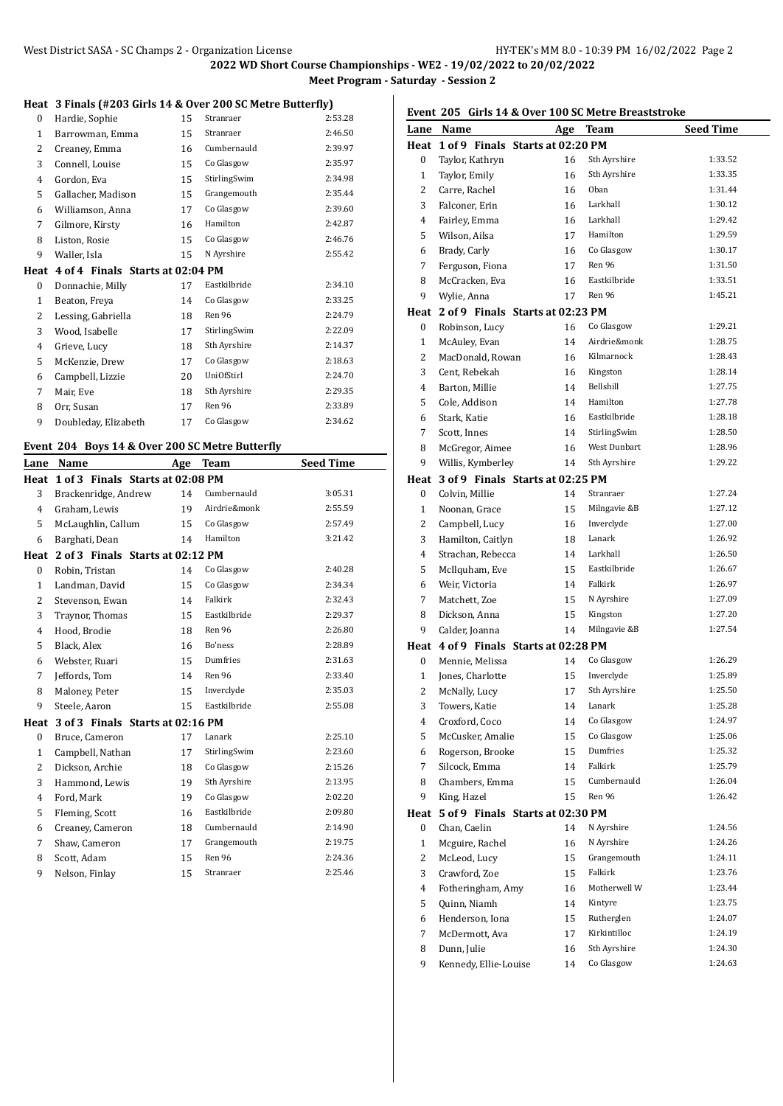#### **Heat 3 Finals (#203 Girls 14 & Over 200 SC Metre Butterfly)**

| псас |                                  |    | $\sigma$ indis (#205 GHTs 14 & Over 200 SC Metre Butterity) |         |
|------|----------------------------------|----|-------------------------------------------------------------|---------|
| 0    | Hardie, Sophie                   | 15 | Stranraer                                                   | 2:53.28 |
| 1    | Barrowman, Emma                  | 15 | Stranraer                                                   | 2:46.50 |
| 2    | Creaney, Emma                    | 16 | Cumbernauld                                                 | 2:39.97 |
| 3    | Connell, Louise                  | 15 | Co Glasgow                                                  | 2:35.97 |
| 4    | Gordon, Eva                      | 15 | StirlingSwim                                                | 2:34.98 |
| 5    | Gallacher, Madison               | 15 | Grangemouth                                                 | 2:35.44 |
| 6    | Williamson, Anna                 | 17 | Co Glasgow                                                  | 2:39.60 |
| 7    | Gilmore, Kirsty                  | 16 | Hamilton                                                    | 2:42.87 |
| 8    | Liston, Rosie                    | 15 | Co Glasgow                                                  | 2:46.76 |
| 9    | Waller, Isla                     | 15 | N Ayrshire                                                  | 2:55.42 |
| Heat | 4 of 4 Finals Starts at 02:04 PM |    |                                                             |         |
| 0    | Donnachie, Milly                 | 17 | Eastkilbride                                                | 2:34.10 |
| 1    | Beaton, Freya                    | 14 | Co Glasgow                                                  | 2:33.25 |
| 2    | Lessing, Gabriella               | 18 | Ren 96                                                      | 2:24.79 |
| 3    | Wood, Isabelle                   | 17 | StirlingSwim                                                | 2:22.09 |
| 4    | Grieve, Lucy                     | 18 | Sth Ayrshire                                                | 2:14.37 |
| 5    | McKenzie, Drew                   | 17 | Co Glasgow                                                  | 2:18.63 |
| 6    | Campbell, Lizzie                 | 20 | <b>UniOfStirl</b>                                           | 2:24.70 |
| 7    | Mair, Eve                        | 18 | Sth Ayrshire                                                | 2:29.35 |
| 8    | Orr, Susan                       | 17 | Ren 96                                                      | 2:33.89 |
| 9    | Doubleday, Elizabeth             | 17 | Co Glasgow                                                  | 2:34.62 |

#### **Event 204 Boys 14 & Over 200 SC Metre Butterfly**

| Lane           | Name                             | Age | <b>Team</b>  | <b>Seed Time</b> |
|----------------|----------------------------------|-----|--------------|------------------|
| Heat           | 1 of 3 Finals Starts at 02:08 PM |     |              |                  |
| 3              | Brackenridge, Andrew             | 14  | Cumbernauld  | 3:05.31          |
| 4              | Graham. Lewis                    | 19  | Airdrie&monk | 2:55.59          |
| 5              | McLaughlin, Callum               | 15  | Co Glasgow   | 2:57.49          |
| 6              | Barghati, Dean                   | 14  | Hamilton     | 3:21.42          |
| Heat           | 2 of 3 Finals Starts at 02:12 PM |     |              |                  |
| $\bf{0}$       | Robin, Tristan                   | 14  | Co Glasgow   | 2:40.28          |
| $\mathbf{1}$   | Landman, David                   | 15  | Co Glasgow   | 2:34.34          |
| 2              | Stevenson, Ewan                  | 14  | Falkirk      | 2:32.43          |
| 3              | Traynor, Thomas                  | 15  | Eastkilbride | 2:29.37          |
| 4              | Hood, Brodie                     | 18  | Ren 96       | 2:26.80          |
| 5              | Black, Alex                      | 16  | Bo'ness      | 2:28.89          |
| 6              | Webster, Ruari                   | 15  | Dumfries     | 2:31.63          |
| 7              | Jeffords, Tom                    | 14  | Ren 96       | 2:33.40          |
| 8              | Maloney, Peter                   | 15  | Inverclyde   | 2:35.03          |
| 9              | Steele, Aaron                    | 15  | Eastkilbride | 2:55.08          |
| Heat           | 3 of 3 Finals Starts at 02:16 PM |     |              |                  |
| 0              | Bruce, Cameron                   | 17  | Lanark       | 2:25.10          |
| $\mathbf{1}$   | Campbell, Nathan                 | 17  | StirlingSwim | 2:23.60          |
| $\overline{2}$ | Dickson, Archie                  | 18  | Co Glasgow   | 2:15.26          |
| 3              | Hammond, Lewis                   | 19  | Sth Ayrshire | 2:13.95          |
| 4              | Ford, Mark                       | 19  | Co Glasgow   | 2:02.20          |
| 5              | Fleming, Scott                   | 16  | Eastkilbride | 2:09.80          |
| 6              | Creaney, Cameron                 | 18  | Cumbernauld  | 2:14.90          |
| 7              | Shaw, Cameron                    | 17  | Grangemouth  | 2:19.75          |
| 8              | Scott, Adam                      | 15  | Ren 96       | 2:24.36          |
| 9              | Nelson, Finlay                   | 15  | Stranraer    | 2:25.46          |

# **Event 205 Girls 14 & Over 100 SC Metre Breaststroke**

|              | and I a over 100 50 ment breasts tronc<br>Lane Name |    | Age Team     | <b>Seed Time</b> |
|--------------|-----------------------------------------------------|----|--------------|------------------|
|              | Heat 1 of 9 Finals Starts at 02:20 PM               |    |              |                  |
|              |                                                     |    | Sth Ayrshire | 1:33.52          |
| 0            | Taylor, Kathryn                                     | 16 |              |                  |
| $\mathbf{1}$ | Taylor, Emily                                       | 16 | Sth Ayrshire | 1:33.35          |
| 2            | Carre, Rachel                                       | 16 | Oban         | 1:31.44          |
| 3            | Falconer, Erin                                      | 16 | Larkhall     | 1:30.12          |
| 4            | Fairley, Emma                                       | 16 | Larkhall     | 1:29.42          |
| 5            | Wilson, Ailsa                                       | 17 | Hamilton     | 1:29.59          |
| 6            | Brady, Carly                                        | 16 | Co Glasgow   | 1:30.17          |
| 7            | Ferguson, Fiona                                     | 17 | Ren 96       | 1:31.50          |
| 8            | McCracken, Eva                                      | 16 | Eastkilbride | 1:33.51          |
| 9            | Wylie, Anna                                         | 17 | Ren 96       | 1:45.21          |
|              | Heat 2 of 9 Finals Starts at 02:23 PM               |    |              |                  |
| $\bf{0}$     | Robinson, Lucy                                      | 16 | Co Glasgow   | 1:29.21          |
| $\mathbf{1}$ | McAuley, Evan                                       | 14 | Airdrie&monk | 1:28.75          |
| 2            | MacDonald, Rowan                                    | 16 | Kilmarnock   | 1:28.43          |
| 3            | Cent, Rebekah                                       | 16 | Kingston     | 1:28.14          |
| 4            | Barton, Millie                                      | 14 | Bellshill    | 1:27.75          |
| 5            | Cole, Addison                                       | 14 | Hamilton     | 1:27.78          |
| 6            | Stark, Katie                                        | 16 | Eastkilbride | 1:28.18          |
| 7            | Scott, Innes                                        | 14 | StirlingSwim | 1:28.50          |
| 8            | McGregor, Aimee                                     | 16 | West Dunbart | 1:28.96          |
| 9            | Willis, Kymberley                                   | 14 | Sth Ayrshire | 1:29.22          |
|              | Heat 3 of 9 Finals Starts at 02:25 PM               |    |              |                  |
| 0            | Colvin, Millie                                      | 14 | Stranraer    | 1:27.24          |
| $\mathbf{1}$ | Noonan, Grace                                       | 15 | Milngavie &B | 1:27.12          |
| 2            | Campbell, Lucy                                      | 16 | Inverclyde   | 1:27.00          |
| 3            | Hamilton, Caitlyn                                   | 18 | Lanark       | 1:26.92          |
| 4            | Strachan, Rebecca                                   | 14 | Larkhall     | 1:26.50          |
| 5            | McIlquham, Eve                                      | 15 | Eastkilbride | 1:26.67          |
| 6            | Weir, Victoria                                      | 14 | Falkirk      | 1:26.97          |
| 7            | Matchett, Zoe                                       | 15 | N Ayrshire   | 1:27.09          |
| 8            | Dickson, Anna                                       | 15 | Kingston     | 1:27.20          |
| 9            | Calder, Joanna                                      | 14 | Milngavie &B | 1:27.54          |
|              | Heat 4 of 9 Finals Starts at 02:28 PM               |    |              |                  |
| 0            | Mennie, Melissa                                     | 14 | Co Glasgow   | 1:26.29          |
| 1            | Jones, Charlotte                                    | 15 | Inverclyde   | 1:25.89          |
| 2            | McNally, Lucy                                       | 17 | Sth Ayrshire | 1:25.50          |
| 3            | Towers, Katie                                       | 14 | Lanark       | 1:25.28          |
| 4            | Croxford, Coco                                      | 14 | Co Glasgow   | 1:24.97          |
| 5            | McCusker, Amalie                                    | 15 | Co Glasgow   | 1:25.06          |
| 6            | Rogerson, Brooke                                    | 15 | Dumfries     | 1:25.32          |
| 7            | Silcock, Emma                                       | 14 | Falkirk      | 1:25.79          |
| 8            | Chambers, Emma                                      | 15 | Cumbernauld  | 1:26.04          |
| 9            | King, Hazel                                         | 15 | Ren 96       | 1:26.42          |
| Heat         | 5 of 9 Finals Starts at 02:30 PM                    |    |              |                  |
| 0            | Chan, Caelin                                        | 14 | N Ayrshire   | 1:24.56          |
| $\mathbf{1}$ | Mcguire, Rachel                                     | 16 | N Ayrshire   | 1:24.26          |
| 2            | McLeod, Lucy                                        | 15 | Grangemouth  | 1:24.11          |
| 3            | Crawford, Zoe                                       | 15 | Falkirk      | 1:23.76          |
| 4            | Fotheringham, Amy                                   | 16 | Motherwell W | 1:23.44          |
| 5            | Quinn, Niamh                                        | 14 | Kintyre      | 1:23.75          |
| 6            | Henderson, Iona                                     | 15 | Rutherglen   | 1:24.07          |
| 7            | McDermott, Ava                                      | 17 | Kirkintilloc | 1:24.19          |
| 8            | Dunn, Julie                                         |    | Sth Ayrshire | 1:24.30          |
| 9            | Kennedy, Ellie-Louise                               | 16 | Co Glasgow   | 1:24.63          |
|              |                                                     | 14 |              |                  |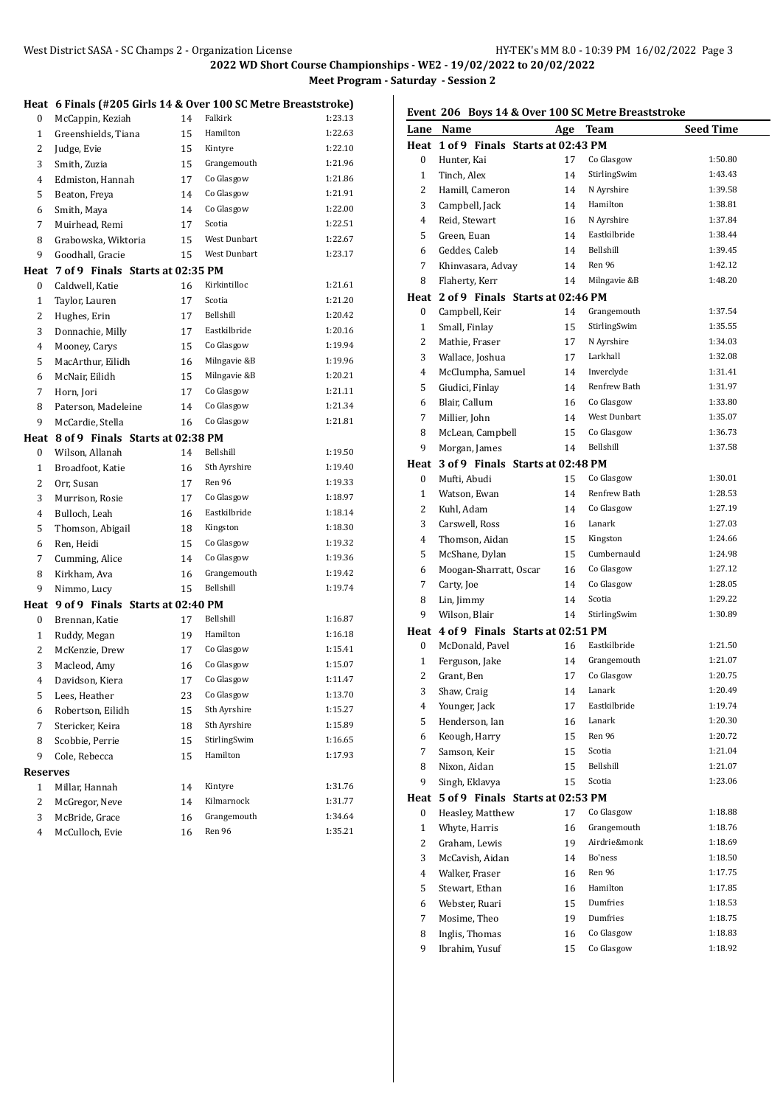West District SASA - SC Champs 2 - Organization License HY-TEK's MM 8.0 - 10:39 PM 16/02/2022 Page 3 **Heat 6 Finals (#205 Girls 14 & Over 100 SC Metre Breaststroke)** 0 McCappin, Keziah 14 Falkirk 1:23.13 Greenshields, Tiana 15 Hamilton 1:22.63 2 Judge, Evie 15 Kintyre 1:22.10 Smith, Zuzia 15 Grangemouth 1:21.96 Edmiston, Hannah 17 Co Glasgow 1:21.86 5 Beaton, Freya 14 Co Glasgow 1:21.91 Smith, Maya 14 Co Glasgow 1:22.00 7 Muirhead, Remi 17 Scotia 1:22.51 8 Grabowska, Wiktoria 15 West Dunbart 1:22.67 9 Goodhall, Gracie 15 West Dunbart 1:23.17 **Heat 7 of 9 Finals Starts at 02:35 PM** 0 Caldwell, Katie 16 Kirkintilloc 1:21.61 Taylor, Lauren 17 Scotia 1:21.20 2 Hughes, Erin 17 Bellshill 1:20.42 Donnachie, Milly 17 Eastkilbride 1:20.16 4 Mooney, Carys 15 Co Glasgow 1:19.94 MacArthur, Eilidh 16 Milngavie &B 1:19.96 McNair, Eilidh 15 Milngavie &B 1:20.21 Horn, Jori 17 Co Glasgow 1:21.11 8 Paterson, Madeleine 14 Co Glasgow 1:21.34 McCardie, Stella 16 Co Glasgow 1:21.81 **Heat 8 of 9 Finals Starts at 02:38 PM** 0 Wilson, Allanah 14 Bellshill 1:19.50 1 Broadfoot, Katie 16 Sth Ayrshire 1:19.40 Orr, Susan 17 Ren 96 1:19.33 Murrison, Rosie 17 Co Glasgow 1:18.97 4 Bulloch, Leah 16 Eastkilbride 1:18.14 5 Thomson, Abigail 18 Kingston 1:18.30 Ren, Heidi 15 Co Glasgow 1:19.32 7 Cumming, Alice 14 Co Glasgow 1:19.36 8 Kirkham, Ava 16 Grangemouth 1:19.42 Nimmo, Lucy 15 Bellshill 1:19.74 **Heat 9 of 9 Finals Starts at 02:40 PM** 0 Brennan, Katie 17 Bellshill 1:16.87 1 Ruddy, Megan 19 Hamilton 1:16.18 McKenzie, Drew 17 Co Glasgow 1:15.41 3 Macleod, Amy 16 Co Glasgow 1:15.07 Davidson, Kiera 17 Co Glasgow 1:11.47 Lees, Heather 23 Co Glasgow 1:13.70 Robertson, Eilidh 15 Sth Ayrshire 1:15.27 7 Stericker, Keira 18 Sth Ayrshire 1:15.89 8 Scobbie, Perrie 15 StirlingSwim 1:16.65 9 Cole, Rebecca 15 Hamilton 1:17.93 **Reserves** Millar, Hannah 14 Kintyre 1:31.76 2 McGregor, Neve 14 Kilmarnock 1:31.77 McBride, Grace 16 Grangemouth 1:34.64 McCulloch, Evie 16 Ren 96 1:35.21

# **Event 206 Boys 14 & Over 100 SC Metre Breaststroke**

|                | Lane Name                             | Age | <b>Team</b>         | <b>Seed Time</b> |
|----------------|---------------------------------------|-----|---------------------|------------------|
|                | Heat 1 of 9 Finals Starts at 02:43 PM |     |                     |                  |
| $\bf{0}$       | Hunter, Kai                           | 17  | Co Glasgow          | 1:50.80          |
| $\mathbf{1}$   | Tinch, Alex                           | 14  | StirlingSwim        | 1:43.43          |
| 2              | Hamill, Cameron                       | 14  | N Ayrshire          | 1:39.58          |
| 3              | Campbell, Jack                        | 14  | Hamilton            | 1:38.81          |
| 4              | Reid, Stewart                         | 16  | N Ayrshire          | 1:37.84          |
| 5              | Green, Euan                           | 14  | Eastkilbride        | 1:38.44          |
| 6              | Geddes, Caleb                         | 14  | Bellshill           | 1:39.45          |
| 7              | Khinyasara, Advay                     | 14  | Ren 96              | 1:42.12          |
| 8              | Flaherty, Kerr                        | 14  | Milngavie &B        | 1:48.20          |
|                | Heat 2 of 9 Finals Starts at 02:46 PM |     |                     |                  |
| 0              | Campbell, Keir                        | 14  | Grangemouth         | 1:37.54          |
| $\mathbf{1}$   | Small, Finlay                         | 15  | StirlingSwim        | 1:35.55          |
| 2              | Mathie, Fraser                        | 17  | N Ayrshire          | 1:34.03          |
| 3              | Wallace, Joshua                       | 17  | Larkhall            | 1:32.08          |
| 4              | McClumpha, Samuel                     | 14  | Inverclyde          | 1:31.41          |
| 5              | Giudici, Finlay                       | 14  | Renfrew Bath        | 1:31.97          |
| 6              | Blair, Callum                         | 16  | Co Glasgow          | 1:33.80          |
| 7              | Millier, John                         | 14  | <b>West Dunbart</b> | 1:35.07          |
| 8              | McLean, Campbell                      | 15  | Co Glasgow          | 1:36.73          |
| 9              | Morgan, James                         | 14  | Bellshill           | 1:37.58          |
|                | Heat 3 of 9 Finals Starts at 02:48 PM |     |                     |                  |
| 0              | Mufti, Abudi                          | 15  | Co Glasgow          | 1:30.01          |
| $\mathbf{1}$   | Watson, Ewan                          | 14  | Renfrew Bath        | 1:28.53          |
| 2              | Kuhl, Adam                            | 14  | Co Glasgow          | 1:27.19          |
| 3              | Carswell, Ross                        | 16  | Lanark              | 1:27.03          |
| 4              | Thomson, Aidan                        | 15  | Kingston            | 1:24.66          |
| 5              | McShane, Dylan                        | 15  | Cumbernauld         | 1:24.98          |
| 6              | Moogan-Sharratt, Oscar                | 16  | Co Glasgow          | 1:27.12          |
| 7              | Carty, Joe                            | 14  | Co Glasgow          | 1:28.05          |
| 8              | Lin, Jimmy                            | 14  | Scotia              | 1:29.22          |
| 9              | Wilson, Blair                         | 14  | StirlingSwim        | 1:30.89          |
|                | Heat 4 of 9 Finals Starts at 02:51 PM |     |                     |                  |
| $\bf{0}$       | McDonald, Pavel                       | 16  | Eastkilbride        | 1:21.50          |
| $\mathbf{1}$   | Ferguson, Jake                        | 14  | Grangemouth         | 1:21.07          |
| 2              | Grant, Ben                            | 17  | Co Glasgow          | 1:20.75          |
| 3              | Shaw, Craig                           | 14  | Lanark              | 1:20.49          |
| 4              | Younger, Jack                         | 17  | Eastkilbride        | 1:19.74          |
| 5              | Henderson, Ian                        | 16  | Lanark              | 1:20.30          |
| 6              | Keough, Harry                         | 15  | Ren 96              | 1:20.72          |
| 7              | Samson, Keir                          | 15  | Scotia              | 1:21.04          |
| 8              | Nixon, Aidan                          | 15  | Bellshill           | 1:21.07          |
| 9              | Singh, Eklavya                        | 15  | Scotia              | 1:23.06          |
| Heat           | 5 of 9 Finals Starts at 02:53 PM      |     |                     |                  |
| 0              | Heasley, Matthew                      | 17  | Co Glasgow          | 1:18.88          |
| $\mathbf{1}$   | Whyte, Harris                         | 16  | Grangemouth         | 1:18.76          |
| 2              | Graham, Lewis                         | 19  | Airdrie&monk        | 1:18.69          |
| 3              | McCavish, Aidan                       | 14  | Bo'ness             | 1:18.50          |
| $\overline{4}$ | Walker, Fraser                        | 16  | Ren 96              | 1:17.75          |
| 5              | Stewart, Ethan                        | 16  | Hamilton            | 1:17.85          |
| 6              | Webster, Ruari                        | 15  | Dumfries            | 1:18.53          |
| 7              | Mosime, Theo                          | 19  | Dumfries            | 1:18.75          |
| 8              | Inglis, Thomas                        | 16  | Co Glasgow          | 1:18.83          |
| 9              | Ibrahim, Yusuf                        | 15  | Co Glasgow          | 1:18.92          |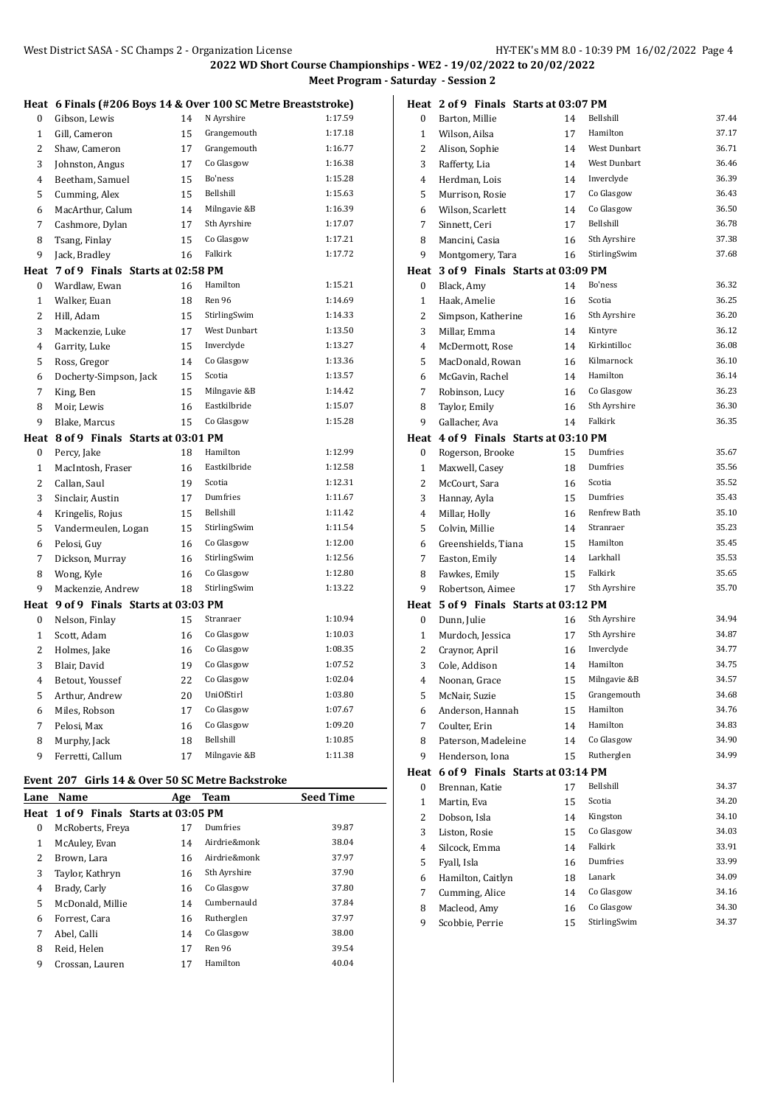|              | Heat 6 Finals (#206 Boys 14 & Over 100 SC Metre Breaststroke) |    |                   |         |
|--------------|---------------------------------------------------------------|----|-------------------|---------|
| 0            | Gibson, Lewis                                                 | 14 | N Ayrshire        | 1:17.59 |
| $\mathbf{1}$ | Gill, Cameron                                                 | 15 | Grangemouth       | 1:17.18 |
| 2            | Shaw, Cameron                                                 | 17 | Grangemouth       | 1:16.77 |
| 3            | Johnston, Angus                                               | 17 | Co Glasgow        | 1:16.38 |
| 4            | Beetham, Samuel                                               | 15 | Bo'ness           | 1:15.28 |
| 5            | Cumming, Alex                                                 | 15 | Bellshill         | 1:15.63 |
| 6            | MacArthur, Calum                                              | 14 | Milngavie &B      | 1:16.39 |
| 7            | Cashmore, Dylan                                               | 17 | Sth Ayrshire      | 1:17.07 |
| 8            | Tsang, Finlay                                                 | 15 | Co Glasgow        | 1:17.21 |
| 9            | Jack, Bradley                                                 | 16 | Falkirk           | 1:17.72 |
| Heat         | 7 of 9 Finals Starts at 02:58 PM                              |    |                   |         |
| 0            | Wardlaw, Ewan                                                 | 16 | Hamilton          | 1:15.21 |
| $\mathbf{1}$ | Walker, Euan                                                  | 18 | Ren 96            | 1:14.69 |
| 2            | Hill, Adam                                                    | 15 | StirlingSwim      | 1:14.33 |
| 3            | Mackenzie, Luke                                               | 17 | West Dunbart      | 1:13.50 |
| 4            | Garrity, Luke                                                 | 15 | Inverclyde        | 1:13.27 |
| 5            | Ross, Gregor                                                  | 14 | Co Glasgow        | 1:13.36 |
| 6            | Docherty-Simpson, Jack                                        | 15 | Scotia            | 1:13.57 |
| 7            | King, Ben                                                     | 15 | Milngavie &B      | 1:14.42 |
| 8            | Moir, Lewis                                                   | 16 | Eastkilbride      | 1:15.07 |
| 9            | Blake, Marcus                                                 | 15 | Co Glasgow        | 1:15.28 |
| Heat         | 8 of 9 Finals Starts at 03:01 PM                              |    |                   |         |
| 0            | Percy, Jake                                                   | 18 | Hamilton          | 1:12.99 |
| $\mathbf{1}$ | MacIntosh, Fraser                                             | 16 | Eastkilbride      | 1:12.58 |
| 2            | Callan, Saul                                                  | 19 | Scotia            | 1:12.31 |
| 3            | Sinclair, Austin                                              | 17 | Dumfries          | 1:11.67 |
| 4            | Kringelis, Rojus                                              | 15 | Bellshill         | 1:11.42 |
| 5            | Vandermeulen, Logan                                           | 15 | StirlingSwim      | 1:11.54 |
| 6            | Pelosi, Guy                                                   | 16 | Co Glasgow        | 1:12.00 |
| 7            | Dickson, Murray                                               | 16 | StirlingSwim      | 1:12.56 |
| 8            | Wong, Kyle                                                    | 16 | Co Glasgow        | 1:12.80 |
| 9            | Mackenzie, Andrew                                             | 18 | StirlingSwim      | 1:13.22 |
| Heat         | 9 of 9 Finals Starts at 03:03 PM                              |    |                   |         |
| 0            | Nelson, Finlay                                                | 15 | Stranraer         | 1:10.94 |
| $\mathbf{1}$ | Scott, Adam                                                   | 16 | Co Glasgow        | 1:10.03 |
| 2            | Holmes, Jake                                                  | 16 | Co Glasgow        | 1:08.35 |
| 3            | Blair, David                                                  | 19 | Co Glasgow        | 1:07.52 |
| 4            | Betout, Youssef                                               | 22 | Co Glasgow        | 1:02.04 |
| 5            | Arthur, Andrew                                                | 20 | <b>UniOfStirl</b> | 1:03.80 |
| 6            | Miles, Robson                                                 | 17 | Co Glasgow        | 1:07.67 |
| 7            | Pelosi, Max                                                   | 16 | Co Glasgow        | 1:09.20 |
| 8            | Murphy, Jack                                                  | 18 | Bellshill         | 1:10.85 |
| 9            | Ferretti, Callum                                              | 17 | Milngavie &B      | 1:11.38 |
|              | Event 207 Girls 14 & Over 50 SC Metre Backstroke              |    |                   |         |

| Lane     | Name                                  | Age | Team         | <b>Seed Time</b> |
|----------|---------------------------------------|-----|--------------|------------------|
|          | Heat 1 of 9 Finals Starts at 03:05 PM |     |              |                  |
| $\Omega$ | McRoberts, Freya                      | 17  | Dumfries     | 39.87            |
| 1        | McAuley, Evan                         | 14  | Airdrie&monk | 38.04            |
| 2        | Brown, Lara                           | 16  | Airdrie&monk | 37.97            |
| 3        | Taylor, Kathryn                       | 16  | Sth Ayrshire | 37.90            |
| 4        | Brady, Carly                          | 16  | Co Glasgow   | 37.80            |
| 5        | McDonald, Millie                      | 14  | Cumbernauld  | 37.84            |
| 6        | Forrest. Cara                         | 16  | Rutherglen   | 37.97            |
| 7        | Abel, Calli                           | 14  | Co Glasgow   | 38.00            |
| 8        | Reid, Helen                           | 17  | Ren 96       | 39.54            |
| 9        | Crossan, Lauren                       | 17  | Hamilton     | 40.04            |

|                  |                     | Heat 2 of 9 Finals Starts at 03:07 PM |              |       |
|------------------|---------------------|---------------------------------------|--------------|-------|
| 0                | Barton, Millie      | 14                                    | Bellshill    | 37.44 |
| $\mathbf{1}$     | Wilson, Ailsa       | 17                                    | Hamilton     | 37.17 |
| 2                | Alison, Sophie      | 14                                    | West Dunbart | 36.71 |
| 3                | Rafferty, Lia       | 14                                    | West Dunbart | 36.46 |
| 4                | Herdman, Lois       | 14                                    | Inverclyde   | 36.39 |
| 5                | Murrison, Rosie     | 17                                    | Co Glasgow   | 36.43 |
| 6                | Wilson, Scarlett    | 14                                    | Co Glasgow   | 36.50 |
| 7                | Sinnett, Ceri       | 17                                    | Bellshill    | 36.78 |
| 8                | Mancini, Casia      | 16                                    | Sth Ayrshire | 37.38 |
| 9                | Montgomery, Tara    | 16                                    | StirlingSwim | 37.68 |
|                  |                     | Heat 3 of 9 Finals Starts at 03:09 PM |              |       |
| 0                | Black, Amy          | 14                                    | Bo'ness      | 36.32 |
| $\mathbf{1}$     | Haak, Amelie        | 16                                    | Scotia       | 36.25 |
| 2                | Simpson, Katherine  | 16                                    | Sth Ayrshire | 36.20 |
| 3                | Millar, Emma        | 14                                    | Kintyre      | 36.12 |
| 4                | McDermott, Rose     | 14                                    | Kirkintilloc | 36.08 |
| 5                | MacDonald, Rowan    | 16                                    | Kilmarnock   | 36.10 |
| 6                | McGavin, Rachel     | 14                                    | Hamilton     | 36.14 |
| 7                | Robinson, Lucy      | 16                                    | Co Glasgow   | 36.23 |
| 8                | Taylor, Emily       | 16                                    | Sth Ayrshire | 36.30 |
| 9                | Gallacher, Ava      | 14                                    | Falkirk      | 36.35 |
|                  |                     | Heat 4 of 9 Finals Starts at 03:10 PM |              |       |
| $\boldsymbol{0}$ | Rogerson, Brooke    | 15                                    | Dumfries     | 35.67 |
| $\mathbf{1}$     | Maxwell, Casey      | 18                                    | Dumfries     | 35.56 |
| 2                | McCourt, Sara       | 16                                    | Scotia       | 35.52 |
| 3                | Hannay, Ayla        | 15                                    | Dumfries     | 35.43 |
| 4                | Millar, Holly       | 16                                    | Renfrew Bath | 35.10 |
| 5                | Colvin, Millie      | 14                                    | Stranraer    | 35.23 |
| 6                | Greenshields, Tiana | 15                                    | Hamilton     | 35.45 |
| 7                | Easton, Emily       | 14                                    | Larkhall     | 35.53 |
| 8                | Fawkes, Emily       | 15                                    | Falkirk      | 35.65 |
| 9                | Robertson, Aimee    | 17                                    | Sth Ayrshire | 35.70 |
|                  |                     | Heat 5 of 9 Finals Starts at 03:12 PM |              |       |
| 0                | Dunn, Julie         | 16                                    | Sth Ayrshire | 34.94 |
| $\mathbf{1}$     | Murdoch, Jessica    | 17                                    | Sth Ayrshire | 34.87 |
| 2                | Craynor, April      | 16                                    | Inverclyde   | 34.77 |
| 3                | Cole, Addison       | 14                                    | Hamilton     | 34.75 |
| 4                | Noonan, Grace       | 15                                    | Milngavie &B | 34.57 |
| 5                | McNair, Suzie       | 15                                    | Grangemouth  | 34.68 |
| 6                | Anderson, Hannah    | 15                                    | Hamilton     | 34.76 |
| 7                | Coulter, Erin       | 14                                    | Hamilton     | 34.83 |
| 8                | Paterson, Madeleine | 14                                    | Co Glasgow   | 34.90 |
| 9                | Henderson, Iona     | 15                                    | Rutherglen   | 34.99 |
| Heat             |                     | 6 of 9 Finals Starts at 03:14 PM      |              |       |
| 0                | Brennan, Katie      | 17                                    | Bellshill    | 34.37 |
| 1                | Martin, Eva         | 15                                    | Scotia       | 34.20 |
| 2                | Dobson, Isla        | 14                                    | Kingston     | 34.10 |
| 3                | Liston, Rosie       | 15                                    | Co Glasgow   | 34.03 |
| $\overline{4}$   | Silcock, Emma       | 14                                    | Falkirk      | 33.91 |
| 5                | Fyall, Isla         | 16                                    | Dumfries     | 33.99 |
| 6                | Hamilton, Caitlyn   | 18                                    | Lanark       | 34.09 |
| 7                | Cumming, Alice      | 14                                    | Co Glasgow   | 34.16 |
| 8                | Macleod, Amy        | 16                                    | Co Glasgow   | 34.30 |
| 9                | Scobbie, Perrie     | 15                                    | StirlingSwim | 34.37 |
|                  |                     |                                       |              |       |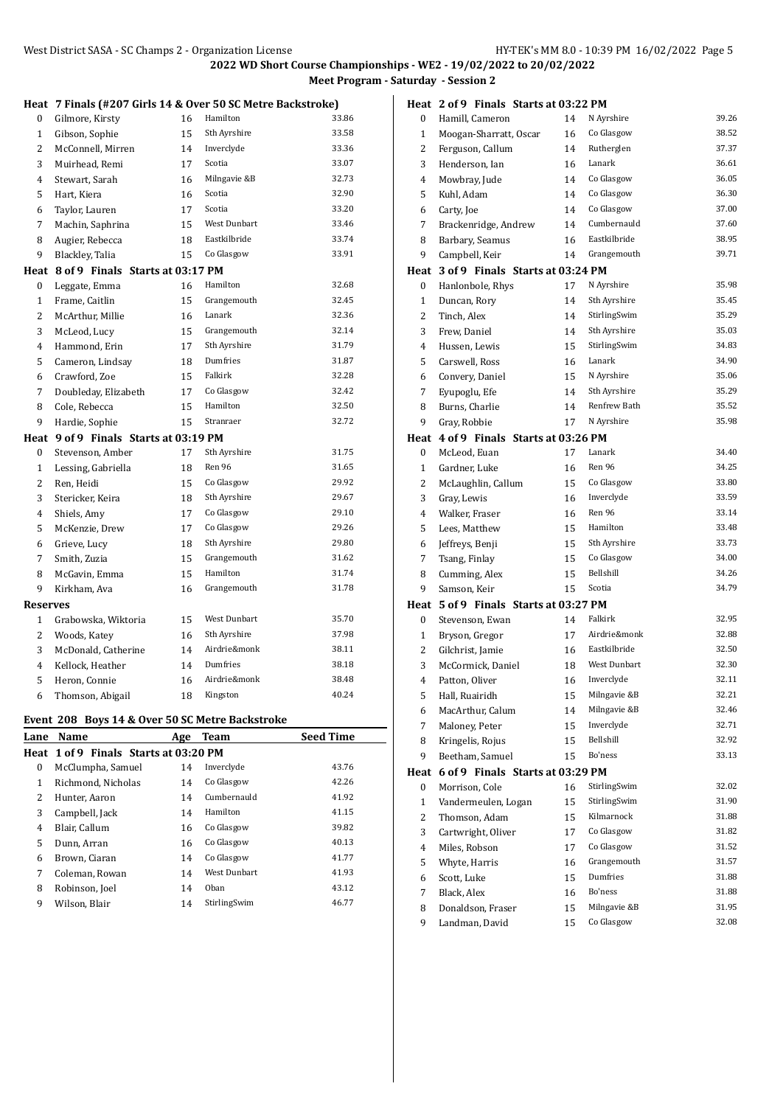|                 | Heat 7 Finals (#207 Girls 14 & Over 50 SC Metre Backstroke) |    |              |       |  |
|-----------------|-------------------------------------------------------------|----|--------------|-------|--|
| 0               | Gilmore, Kirsty                                             | 16 | Hamilton     | 33.86 |  |
| 1               | Gibson, Sophie                                              | 15 | Sth Ayrshire | 33.58 |  |
| $\overline{c}$  | McConnell, Mirren                                           | 14 | Inverclyde   | 33.36 |  |
| 3               | Muirhead, Remi                                              | 17 | Scotia       | 33.07 |  |
| 4               | Stewart, Sarah                                              | 16 | Milngavie &B | 32.73 |  |
| 5               | Hart, Kiera                                                 | 16 | Scotia       | 32.90 |  |
| 6               | Taylor, Lauren                                              | 17 | Scotia       | 33.20 |  |
| 7               | Machin, Saphrina                                            | 15 | West Dunbart | 33.46 |  |
| 8               | Augier, Rebecca                                             | 18 | Eastkilbride | 33.74 |  |
| 9               | Blackley, Talia                                             | 15 | Co Glasgow   | 33.91 |  |
|                 | Heat 8 of 9 Finals Starts at 03:17 PM                       |    |              |       |  |
| 0               | Leggate, Emma                                               | 16 | Hamilton     | 32.68 |  |
| $\mathbf{1}$    | Frame, Caitlin                                              | 15 | Grangemouth  | 32.45 |  |
| $\overline{c}$  | McArthur, Millie                                            | 16 | Lanark       | 32.36 |  |
| 3               | McLeod, Lucy                                                | 15 | Grangemouth  | 32.14 |  |
| $\overline{4}$  | Hammond, Erin                                               | 17 | Sth Ayrshire | 31.79 |  |
| 5               | Cameron, Lindsay                                            | 18 | Dumfries     | 31.87 |  |
| 6               | Crawford, Zoe                                               | 15 | Falkirk      | 32.28 |  |
| 7               | Doubleday, Elizabeth                                        | 17 | Co Glasgow   | 32.42 |  |
| 8               | Cole, Rebecca                                               | 15 | Hamilton     | 32.50 |  |
| 9               | Hardie, Sophie                                              | 15 | Stranraer    | 32.72 |  |
| Heat            | 9 of 9 Finals Starts at 03:19 PM                            |    |              |       |  |
| 0               | Stevenson, Amber                                            | 17 | Sth Ayrshire | 31.75 |  |
| $\mathbf{1}$    | Lessing, Gabriella                                          | 18 | Ren 96       | 31.65 |  |
| 2               | Ren, Heidi                                                  | 15 | Co Glasgow   | 29.92 |  |
| 3               | Stericker, Keira                                            | 18 | Sth Ayrshire | 29.67 |  |
| $\overline{4}$  | Shiels, Amy                                                 | 17 | Co Glasgow   | 29.10 |  |
| 5               | McKenzie, Drew                                              | 17 | Co Glasgow   | 29.26 |  |
| 6               | Grieve, Lucy                                                | 18 | Sth Ayrshire | 29.80 |  |
| 7               | Smith, Zuzia                                                | 15 | Grangemouth  | 31.62 |  |
| 8               | McGavin, Emma                                               | 15 | Hamilton     | 31.74 |  |
| 9               | Kirkham, Ava                                                | 16 | Grangemouth  | 31.78 |  |
| <b>Reserves</b> |                                                             |    |              |       |  |
| 1               | Grabowska, Wiktoria                                         | 15 | West Dunbart | 35.70 |  |
| 2               | Woods, Katey                                                | 16 | Sth Ayrshire | 37.98 |  |
| 3               | McDonald, Catherine                                         | 14 | Airdrie&monk | 38.11 |  |
| 4               | Kellock, Heather                                            | 14 | Dumfries     | 38.18 |  |
| 5               | Heron, Connie                                               | 16 | Airdrie&monk | 38.48 |  |
| 6               | Thomson, Abigail                                            | 18 | Kingston     | 40.24 |  |
|                 | Event 208 Boys 14 & Over 50 SC Metre Backstroke             |    |              |       |  |

| Lane         | Name                                  | Age | Team                | <b>Seed Time</b> |
|--------------|---------------------------------------|-----|---------------------|------------------|
|              | Heat 1 of 9 Finals Starts at 03:20 PM |     |                     |                  |
| 0            | McClumpha, Samuel                     | 14  | Inverclyde          | 43.76            |
| $\mathbf{1}$ | Richmond, Nicholas                    | 14  | Co Glasgow          | 42.26            |
| 2            | Hunter, Aaron                         | 14  | Cumbernauld         | 41.92            |
| 3            | Campbell, Jack                        | 14  | Hamilton            | 41.15            |
| 4            | Blair, Callum                         | 16  | Co Glasgow          | 39.82            |
| 5            | Dunn, Arran                           | 16  | Co Glasgow          | 40.13            |
| 6            | Brown, Ciaran                         | 14  | Co Glasgow          | 41.77            |
| 7            | Coleman, Rowan                        | 14  | <b>West Dunbart</b> | 41.93            |
| 8            | Robinson, Joel                        | 14  | Oban                | 43.12            |
| 9            | Wilson, Blair                         | 14  | StirlingSwim        | 46.77            |

|                | Heat 2 of 9 Finals Starts at 03:22 PM |    |                     |       |
|----------------|---------------------------------------|----|---------------------|-------|
| 0              | Hamill, Cameron                       | 14 | N Ayrshire          | 39.26 |
| 1              | Moogan-Sharratt, Oscar                | 16 | Co Glasgow          | 38.52 |
| 2              | Ferguson, Callum                      | 14 | Rutherglen          | 37.37 |
| 3              | Henderson, Ian                        | 16 | Lanark              | 36.61 |
| 4              | Mowbray, Jude                         | 14 | Co Glasgow          | 36.05 |
| 5              | Kuhl. Adam                            | 14 | Co Glasgow          | 36.30 |
| 6              | Carty, Joe                            | 14 | Co Glasgow          | 37.00 |
| 7              | Brackenridge, Andrew                  | 14 | Cumbernauld         | 37.60 |
| 8              | Barbary, Seamus                       | 16 | Eastkilbride        | 38.95 |
| 9              | Campbell, Keir                        | 14 | Grangemouth         | 39.71 |
| Heat           | 3 of 9 Finals Starts at 03:24 PM      |    |                     |       |
| 0              | Hanlonbole, Rhys                      | 17 | N Ayrshire          | 35.98 |
| $\mathbf{1}$   | Duncan, Rory                          | 14 | Sth Ayrshire        | 35.45 |
| 2              | Tinch, Alex                           | 14 | StirlingSwim        | 35.29 |
| 3              | Frew, Daniel                          | 14 | Sth Ayrshire        | 35.03 |
| 4              | Hussen, Lewis                         | 15 | StirlingSwim        | 34.83 |
| 5              | Carswell, Ross                        | 16 | Lanark              | 34.90 |
| 6              | Convery, Daniel                       | 15 | N Ayrshire          | 35.06 |
| 7              | Eyupoglu, Efe                         | 14 | Sth Ayrshire        | 35.29 |
| 8              | Burns, Charlie                        | 14 | Renfrew Bath        | 35.52 |
| 9              | Gray, Robbie                          | 17 | N Ayrshire          | 35.98 |
| Heat           | 4 of 9 Finals Starts at 03:26 PM      |    |                     |       |
| 0              | McLeod, Euan                          | 17 | Lanark              | 34.40 |
| $\mathbf{1}$   | Gardner, Luke                         | 16 | Ren 96              | 34.25 |
| 2              | McLaughlin, Callum                    | 15 | Co Glasgow          | 33.80 |
| 3              | Gray, Lewis                           | 16 | Inverclyde          | 33.59 |
| 4              | Walker, Fraser                        | 16 | Ren 96              | 33.14 |
| 5              | Lees, Matthew                         | 15 | Hamilton            | 33.48 |
| 6              | Jeffreys, Benji                       | 15 | Sth Ayrshire        | 33.73 |
| 7              | Tsang, Finlay                         | 15 | Co Glasgow          | 34.00 |
| 8              | Cumming, Alex                         | 15 | Bellshill           | 34.26 |
| 9              | Samson, Keir                          | 15 | Scotia              | 34.79 |
|                | Heat 5 of 9 Finals Starts at 03:27 PM |    |                     |       |
| 0              | Stevenson, Ewan                       | 14 | Falkirk             | 32.95 |
| 1              | Bryson, Gregor                        | 17 | Airdrie&monk        | 32.88 |
| 2              | Gilchrist, Jamie                      | 16 | Eastkilbride        | 32.50 |
| 3              | McCormick, Daniel                     | 18 | <b>West Dunbart</b> | 32.30 |
| 4              | Patton, Oliver                        | 16 | Inverclyde          | 32.11 |
| 5              | Hall, Ruairidh                        | 15 | Milngavie &B        | 32.21 |
| 6              | MacArthur, Calum                      | 14 | Milngavie &B        | 32.46 |
| 7              | Maloney, Peter                        | 15 | Inverclyde          | 32.71 |
| 8              | Kringelis, Rojus                      | 15 | Bellshill           | 32.92 |
| 9              | Beetham, Samuel                       | 15 | Bo'ness             | 33.13 |
| Heat           | 6 of 9 Finals Starts at 03:29 PM      |    |                     |       |
| 0              | Morrison, Cole                        | 16 | StirlingSwim        | 32.02 |
| 1              | Vandermeulen, Logan                   | 15 | StirlingSwim        | 31.90 |
| 2              | Thomson, Adam                         | 15 | Kilmarnock          | 31.88 |
| 3              | Cartwright, Oliver                    | 17 | Co Glasgow          | 31.82 |
| $\overline{4}$ | Miles, Robson                         | 17 | Co Glasgow          | 31.52 |
| 5              | Whyte, Harris                         | 16 | Grangemouth         | 31.57 |
| 6              | Scott, Luke                           | 15 | Dumfries            | 31.88 |
| 7              | Black, Alex                           | 16 | Bo'ness             | 31.88 |
| 8              | Donaldson, Fraser                     | 15 | Milngavie &B        | 31.95 |
| 9              | Landman, David                        | 15 | Co Glasgow          | 32.08 |
|                |                                       |    |                     |       |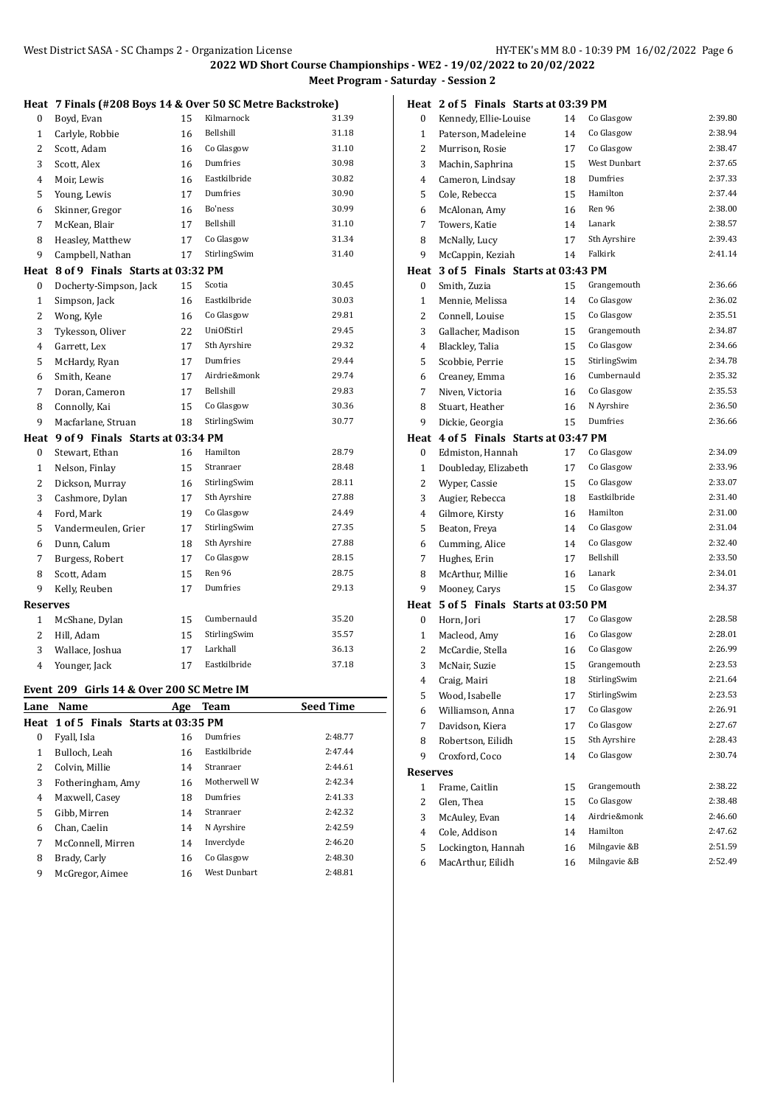**2022 WD Short Course Championships - WE2 - 19/02/2022 to 20/02/2022**

am - Saturday - Session 2

|                                          |                                                            |     | <b>2022 WD Short Course Champi</b> | <b>Meet Progra</b> |  |  |
|------------------------------------------|------------------------------------------------------------|-----|------------------------------------|--------------------|--|--|
|                                          | Heat 7 Finals (#208 Boys 14 & Over 50 SC Metre Backstroke) |     |                                    |                    |  |  |
| 0                                        | Boyd, Evan                                                 | 15  | Kilmarnock                         | 31.39              |  |  |
| $\mathbf{1}$                             | Carlyle, Robbie                                            | 16  | <b>Bellshill</b>                   | 31.18              |  |  |
| 2                                        | Scott, Adam                                                | 16  | Co Glasgow                         | 31.10              |  |  |
| 3                                        | Scott, Alex                                                | 16  | Dumfries                           | 30.98              |  |  |
| 4                                        | Moir, Lewis                                                | 16  | Eastkilbride                       | 30.82              |  |  |
| 5                                        |                                                            | 17  | Dumfries                           | 30.90              |  |  |
| 6                                        | Young, Lewis                                               | 16  | Bo'ness                            | 30.99              |  |  |
|                                          | Skinner, Gregor                                            | 17  | Bellshill                          | 31.10              |  |  |
| 7                                        | McKean, Blair                                              |     | Co Glasgow                         | 31.34              |  |  |
| 8                                        | Heasley, Matthew                                           | 17  |                                    |                    |  |  |
| 9                                        | Campbell, Nathan                                           | 17  | StirlingSwim                       | 31.40              |  |  |
|                                          | Heat 8 of 9 Finals Starts at 03:32 PM                      |     |                                    |                    |  |  |
| 0                                        | Docherty-Simpson, Jack                                     | 15  | Scotia                             | 30.45              |  |  |
| $\mathbf{1}$                             | Simpson, Jack                                              | 16  | Eastkilbride                       | 30.03              |  |  |
| $\overline{2}$                           | Wong, Kyle                                                 | 16  | Co Glasgow                         | 29.81              |  |  |
| 3                                        | Tykesson, Oliver                                           | 22  | UniOfStirl                         | 29.45              |  |  |
| 4                                        | Garrett, Lex                                               | 17  | Sth Ayrshire                       | 29.32              |  |  |
| 5                                        | McHardy, Ryan                                              | 17  | Dumfries                           | 29.44              |  |  |
| 6                                        | Smith, Keane                                               | 17  | Airdrie&monk                       | 29.74              |  |  |
| 7                                        | Doran, Cameron                                             | 17  | Bellshill                          | 29.83              |  |  |
| 8                                        | Connolly, Kai                                              | 15  | Co Glasgow                         | 30.36              |  |  |
| 9                                        | Macfarlane, Struan                                         | 18  | StirlingSwim                       | 30.77              |  |  |
| 9 of 9 Finals Starts at 03:34 PM<br>Heat |                                                            |     |                                    |                    |  |  |
| 0                                        | Stewart, Ethan                                             | 16  | Hamilton                           | 28.79              |  |  |
| $\mathbf{1}$                             | Nelson, Finlay                                             | 15  | Stranraer                          | 28.48              |  |  |
| 2                                        | Dickson, Murray                                            | 16  | StirlingSwim                       | 28.11              |  |  |
| 3                                        | Cashmore, Dylan                                            | 17  | Sth Ayrshire                       | 27.88              |  |  |
| 4                                        | Ford, Mark                                                 | 19  | Co Glasgow                         | 24.49              |  |  |
| 5                                        | Vandermeulen, Grier                                        | 17  | StirlingSwim                       | 27.35              |  |  |
| 6                                        | Dunn, Calum                                                | 18  | Sth Ayrshire                       | 27.88              |  |  |
| 7                                        | Burgess, Robert                                            | 17  | Co Glasgow                         | 28.15              |  |  |
| 8                                        | Scott, Adam                                                | 15  | Ren 96                             | 28.75              |  |  |
| 9                                        | Kelly, Reuben                                              | 17  | Dumfries                           | 29.13              |  |  |
| <b>Reserves</b>                          |                                                            |     |                                    |                    |  |  |
| $\mathbf{1}$                             | McShane, Dylan                                             | 15  | Cumbernauld                        | 35.20              |  |  |
| 2                                        | Hill, Adam                                                 | 15  | StirlingSwim                       | 35.57              |  |  |
| 3                                        | Wallace, Joshua                                            | 17  | Larkhall                           | 36.13              |  |  |
| $\overline{4}$                           | Younger, Jack                                              | 17  | Eastkilbride                       | 37.18              |  |  |
|                                          | Event 209 Girls 14 & Over 200 SC Metre IM                  |     |                                    |                    |  |  |
| Lane                                     | Name                                                       | Age | Team                               | <b>Seed Time</b>   |  |  |
|                                          | Heat 1 of 5 Finals Starts at 03:35 PM                      |     |                                    |                    |  |  |

|   | Heat 1 of 5 Finals Starts at 03:35 PM |    |              |         |
|---|---------------------------------------|----|--------------|---------|
| 0 | Fyall, Isla                           | 16 | Dumfries     | 2:48.77 |
| 1 | Bulloch, Leah                         | 16 | Eastkilbride | 2:47.44 |
| 2 | Colvin, Millie                        | 14 | Stranraer    | 2:44.61 |
| 3 | Fotheringham, Amy                     | 16 | Motherwell W | 2:42.34 |
| 4 | Maxwell, Casey                        | 18 | Dumfries     | 2:41.33 |
| 5 | Gibb, Mirren                          | 14 | Stranraer    | 2:42.32 |
| 6 | Chan, Caelin                          | 14 | N Ayrshire   | 2:42.59 |
| 7 | McConnell, Mirren                     | 14 | Inverclyde   | 2:46.20 |
| 8 | Brady, Carly                          | 16 | Co Glasgow   | 2:48.30 |
| 9 | McGregor, Aimee                       | 16 | West Dunbart | 2:48.81 |
|   |                                       |    |              |         |

|                 | Heat 2 of 5 Finals Starts at 03:39 PM |    |              |         |
|-----------------|---------------------------------------|----|--------------|---------|
| 0               | Kennedy, Ellie-Louise                 | 14 | Co Glasgow   | 2:39.80 |
| $\mathbf{1}$    | Paterson, Madeleine                   | 14 | Co Glasgow   | 2:38.94 |
| 2               | Murrison, Rosie                       | 17 | Co Glasgow   | 2:38.47 |
| 3               | Machin, Saphrina                      | 15 | West Dunbart | 2:37.65 |
| 4               | Cameron, Lindsay                      | 18 | Dumfries     | 2:37.33 |
| 5               | Cole, Rebecca                         | 15 | Hamilton     | 2:37.44 |
| 6               | McAlonan, Amy                         | 16 | Ren 96       | 2:38.00 |
| 7               | Towers, Katie                         | 14 | Lanark       | 2:38.57 |
| 8               | McNally, Lucy                         | 17 | Sth Ayrshire | 2:39.43 |
| 9               | McCappin, Keziah                      | 14 | Falkirk      | 2:41.14 |
| Heat            | 3 of 5 Finals Starts at 03:43 PM      |    |              |         |
| $\mathbf{0}$    | Smith, Zuzia                          | 15 | Grangemouth  | 2:36.66 |
| $\mathbf{1}$    | Mennie, Melissa                       | 14 | Co Glasgow   | 2:36.02 |
| 2               | Connell, Louise                       | 15 | Co Glasgow   | 2:35.51 |
| 3               | Gallacher, Madison                    | 15 | Grangemouth  | 2:34.87 |
| 4               | Blackley, Talia                       | 15 | Co Glasgow   | 2:34.66 |
| 5               | Scobbie, Perrie                       | 15 | StirlingSwim | 2:34.78 |
| 6               | Creaney, Emma                         | 16 | Cumbernauld  | 2:35.32 |
| 7               | Niven, Victoria                       | 16 | Co Glasgow   | 2:35.53 |
| 8               | Stuart, Heather                       | 16 | N Ayrshire   | 2:36.50 |
| 9               | Dickie, Georgia                       | 15 | Dumfries     | 2:36.66 |
|                 | Heat 4 of 5 Finals Starts at 03:47 PM |    |              |         |
| $\bf{0}$        | Edmiston, Hannah                      | 17 | Co Glasgow   | 2:34.09 |
| 1               | Doubleday, Elizabeth                  | 17 | Co Glasgow   | 2:33.96 |
| 2               | Wyper, Cassie                         | 15 | Co Glasgow   | 2:33.07 |
| 3               | Augier, Rebecca                       | 18 | Eastkilbride | 2:31.40 |
| 4               | Gilmore, Kirsty                       | 16 | Hamilton     | 2:31.00 |
| 5               | Beaton, Freya                         | 14 | Co Glasgow   | 2:31.04 |
| 6               | Cumming, Alice                        | 14 | Co Glasgow   | 2:32.40 |
| 7               | Hughes, Erin                          | 17 | Bellshill    | 2:33.50 |
| 8               | McArthur, Millie                      | 16 | Lanark       | 2:34.01 |
| 9               | Mooney, Carys                         | 15 | Co Glasgow   | 2:34.37 |
|                 | Heat 5 of 5 Finals Starts at 03:50 PM |    |              |         |
| 0               | Horn, Jori                            | 17 | Co Glasgow   | 2:28.58 |
| $\mathbf{1}$    | Macleod, Amy                          | 16 | Co Glasgow   | 2:28.01 |
| 2               | McCardie, Stella                      | 16 | Co Glasgow   | 2:26.99 |
| 3               | McNair, Suzie                         | 15 | Grangemouth  | 2:23.53 |
| 4               | Craig, Mairi                          | 18 | StirlingSwim | 2:21.64 |
| 5               | Wood, Isabelle                        | 17 | StirlingSwim | 2:23.53 |
| 6               | Williamson, Anna                      | 17 | Co Glasgow   | 2:26.91 |
| 7               | Davidson, Kiera                       | 17 | Co Glasgow   | 2:27.67 |
| 8               | Robertson, Eilidh                     | 15 | Sth Ayrshire | 2:28.43 |
| 9               | Croxford, Coco                        | 14 | Co Glasgow   | 2:30.74 |
| <b>Reserves</b> |                                       |    |              |         |
| 1               | Frame, Caitlin                        | 15 | Grangemouth  | 2:38.22 |
| 2               | Glen, Thea                            | 15 | Co Glasgow   | 2:38.48 |
| 3               | McAuley, Evan                         | 14 | Airdrie&monk | 2:46.60 |
| 4               | Cole, Addison                         | 14 | Hamilton     | 2:47.62 |
| 5               | Lockington, Hannah                    | 16 | Milngavie &B | 2:51.59 |
| 6               | MacArthur, Eilidh                     | 16 | Milngavie &B | 2:52.49 |